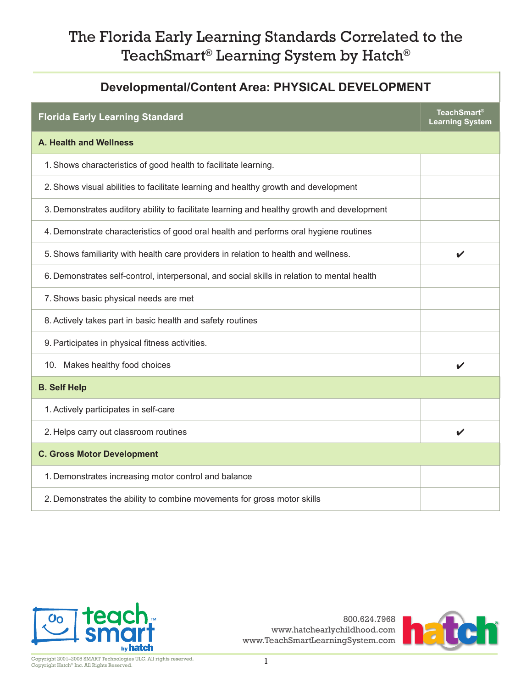#### **Developmental/Content Area: PHYSICAL DEVELOPMENT**

| <b>Florida Early Learning Standard</b>                                                      | <b>TeachSmart®</b><br><b>Learning System</b> |
|---------------------------------------------------------------------------------------------|----------------------------------------------|
| A. Health and Wellness                                                                      |                                              |
| 1. Shows characteristics of good health to facilitate learning.                             |                                              |
| 2. Shows visual abilities to facilitate learning and healthy growth and development         |                                              |
| 3. Demonstrates auditory ability to facilitate learning and healthy growth and development  |                                              |
| 4. Demonstrate characteristics of good oral health and performs oral hygiene routines       |                                              |
| 5. Shows familiarity with health care providers in relation to health and wellness.         | $\checkmark$                                 |
| 6. Demonstrates self-control, interpersonal, and social skills in relation to mental health |                                              |
| 7. Shows basic physical needs are met                                                       |                                              |
| 8. Actively takes part in basic health and safety routines                                  |                                              |
| 9. Participates in physical fitness activities.                                             |                                              |
| 10. Makes healthy food choices                                                              | V                                            |
| <b>B. Self Help</b>                                                                         |                                              |
| 1. Actively participates in self-care                                                       |                                              |
| 2. Helps carry out classroom routines                                                       | V                                            |
| <b>C. Gross Motor Development</b>                                                           |                                              |
| 1. Demonstrates increasing motor control and balance                                        |                                              |
| 2. Demonstrates the ability to combine movements for gross motor skills                     |                                              |



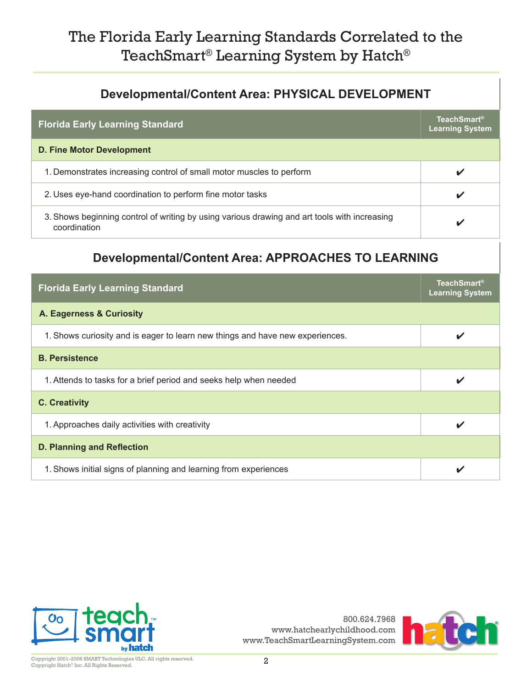#### **Developmental/Content Area: PHYSICAL DEVELOPMENT**

| <b>Florida Early Learning Standard</b>                                                                       | <b>TeachSmart®</b><br><b>Learning System</b> |
|--------------------------------------------------------------------------------------------------------------|----------------------------------------------|
| <b>D. Fine Motor Development</b>                                                                             |                                              |
| 1. Demonstrates increasing control of small motor muscles to perform                                         |                                              |
| 2. Uses eye-hand coordination to perform fine motor tasks                                                    |                                              |
| 3. Shows beginning control of writing by using various drawing and art tools with increasing<br>coordination |                                              |

#### **Developmental/Content Area: APPROACHES TO LEARNING**

| <b>Florida Early Learning Standard</b>                                        | <b>TeachSmart®</b><br><b>Learning System</b> |
|-------------------------------------------------------------------------------|----------------------------------------------|
| A. Eagerness & Curiosity                                                      |                                              |
| 1. Shows curiosity and is eager to learn new things and have new experiences. |                                              |
| <b>B.</b> Persistence                                                         |                                              |
| 1. Attends to tasks for a brief period and seeks help when needed             | ✔                                            |
| <b>C. Creativity</b>                                                          |                                              |
| 1. Approaches daily activities with creativity                                |                                              |
| <b>D. Planning and Reflection</b>                                             |                                              |
| 1. Shows initial signs of planning and learning from experiences              |                                              |



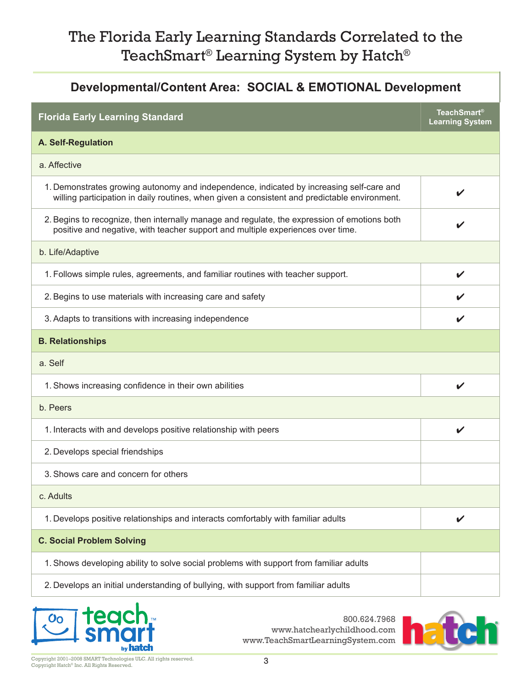# **Developmental/Content Area: SOCIAL & EMOTIONAL Development Florida Early Learning Standard TeachSmart® Learning System A. Self-Regulation** a. Affective 1. Demonstrates growing autonomy and independence, indicated by increasing self-care and Demonstrates growing adonomy and independence, indicated by increasing sen-care and<br>willing participation in daily routines, when given a consistent and predictable environment. 2.Begins to recognize, then internally manage and regulate, the expression of emotions both positive and negative, with teacher support and multiple experiences over time. b. Life/Adaptive 1. Follows simple rules, agreements, and familiar routines with teacher support. 2. Begins to use materials with increasing care and safety  $\overrightarrow{ }$ 3.Adapts to transitions with increasing independence **B. Relationships** a. Self 1. Shows increasing confidence in their own abilities  $\triangledown$ b. Peers 1. Interacts with and develops positive relationship with peers  $\triangledown$ 2. Develops special friendships 3.Shows care and concern for others c. Adults 1. Develops positive relationships and interacts comfortably with familiar adults  $\bigtriangledown$ **C. Social Problem Solving** 1.Shows developing ability to solve social problems with support from familiar adults 2. Develops an initial understanding of bullying, with support from familiar adults



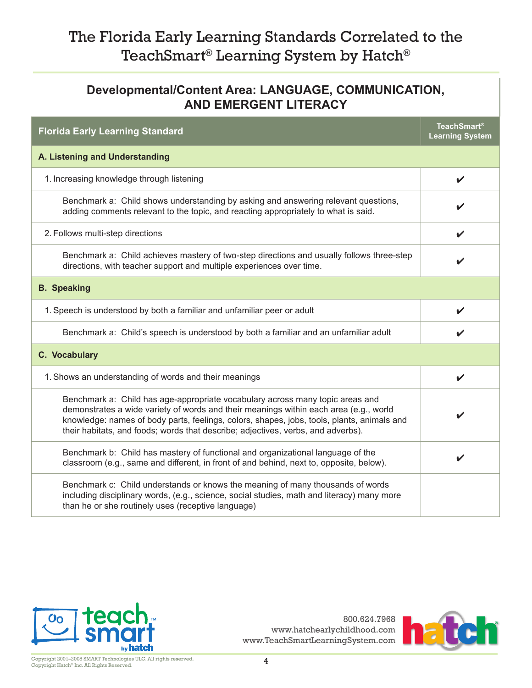#### **Developmental/Content Area: LANGUAGE, COMMUNICATION, AND EMERGENT LITERACY**

| <b>Florida Early Learning Standard</b>                                                                                                                                                                                                                                                                                                                   | <b>TeachSmart®</b><br><b>Learning System</b> |
|----------------------------------------------------------------------------------------------------------------------------------------------------------------------------------------------------------------------------------------------------------------------------------------------------------------------------------------------------------|----------------------------------------------|
| A. Listening and Understanding                                                                                                                                                                                                                                                                                                                           |                                              |
| 1. Increasing knowledge through listening                                                                                                                                                                                                                                                                                                                | V                                            |
| Benchmark a: Child shows understanding by asking and answering relevant questions,<br>adding comments relevant to the topic, and reacting appropriately to what is said.                                                                                                                                                                                 |                                              |
| 2. Follows multi-step directions                                                                                                                                                                                                                                                                                                                         |                                              |
| Benchmark a: Child achieves mastery of two-step directions and usually follows three-step<br>directions, with teacher support and multiple experiences over time.                                                                                                                                                                                        |                                              |
| <b>B.</b> Speaking                                                                                                                                                                                                                                                                                                                                       |                                              |
| 1. Speech is understood by both a familiar and unfamiliar peer or adult                                                                                                                                                                                                                                                                                  | V                                            |
| Benchmark a: Child's speech is understood by both a familiar and an unfamiliar adult                                                                                                                                                                                                                                                                     |                                              |
| C. Vocabulary                                                                                                                                                                                                                                                                                                                                            |                                              |
| 1. Shows an understanding of words and their meanings                                                                                                                                                                                                                                                                                                    | V                                            |
| Benchmark a: Child has age-appropriate vocabulary across many topic areas and<br>demonstrates a wide variety of words and their meanings within each area (e.g., world<br>knowledge: names of body parts, feelings, colors, shapes, jobs, tools, plants, animals and<br>their habitats, and foods; words that describe; adjectives, verbs, and adverbs). | V                                            |
| Benchmark b: Child has mastery of functional and organizational language of the<br>classroom (e.g., same and different, in front of and behind, next to, opposite, below).                                                                                                                                                                               | V                                            |
| Benchmark c: Child understands or knows the meaning of many thousands of words<br>including disciplinary words, (e.g., science, social studies, math and literacy) many more<br>than he or she routinely uses (receptive language)                                                                                                                       |                                              |



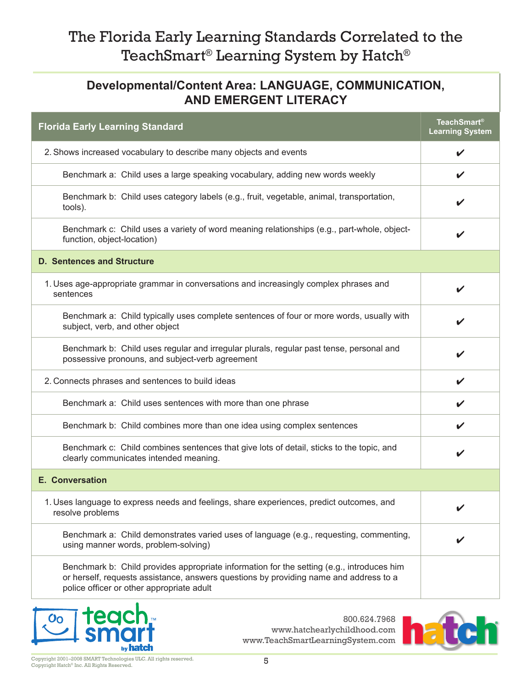#### **Developmental/Content Area: LANGUAGE, COMMUNICATION, AND EMERGENT LITERACY**

| <b>Florida Early Learning Standard</b>                                                                                                                                                                                          | <b>TeachSmart®</b><br><b>Learning System</b> |
|---------------------------------------------------------------------------------------------------------------------------------------------------------------------------------------------------------------------------------|----------------------------------------------|
| 2. Shows increased vocabulary to describe many objects and events                                                                                                                                                               | V                                            |
| Benchmark a: Child uses a large speaking vocabulary, adding new words weekly                                                                                                                                                    | ✔                                            |
| Benchmark b: Child uses category labels (e.g., fruit, vegetable, animal, transportation,<br>tools).                                                                                                                             |                                              |
| Benchmark c: Child uses a variety of word meaning relationships (e.g., part-whole, object-<br>function, object-location)                                                                                                        | V                                            |
| <b>D. Sentences and Structure</b>                                                                                                                                                                                               |                                              |
| 1. Uses age-appropriate grammar in conversations and increasingly complex phrases and<br>sentences                                                                                                                              | ✔                                            |
| Benchmark a: Child typically uses complete sentences of four or more words, usually with<br>subject, verb, and other object                                                                                                     |                                              |
| Benchmark b: Child uses regular and irregular plurals, regular past tense, personal and<br>possessive pronouns, and subject-verb agreement                                                                                      |                                              |
| 2. Connects phrases and sentences to build ideas                                                                                                                                                                                | V                                            |
| Benchmark a: Child uses sentences with more than one phrase                                                                                                                                                                     |                                              |
| Benchmark b: Child combines more than one idea using complex sentences                                                                                                                                                          |                                              |
| Benchmark c: Child combines sentences that give lots of detail, sticks to the topic, and<br>clearly communicates intended meaning.                                                                                              | V                                            |
| <b>E. Conversation</b>                                                                                                                                                                                                          |                                              |
| 1. Uses language to express needs and feelings, share experiences, predict outcomes, and<br>resolve problems                                                                                                                    |                                              |
| Benchmark a: Child demonstrates varied uses of language (e.g., requesting, commenting,<br>using manner words, problem-solving)                                                                                                  |                                              |
| Benchmark b: Child provides appropriate information for the setting (e.g., introduces him<br>or herself, requests assistance, answers questions by providing name and address to a<br>police officer or other appropriate adult |                                              |



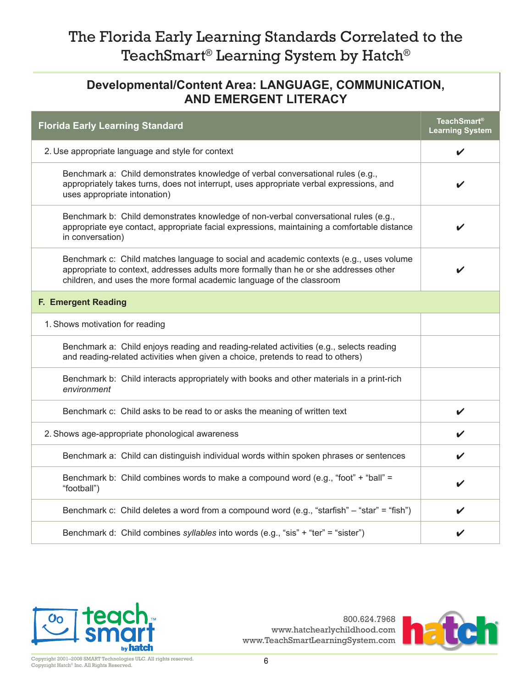#### **Developmental/Content Area: LANGUAGE, COMMUNICATION, AND EMERGENT LITERACY**

| <b>Florida Early Learning Standard</b>                                                                                                                                                                                                                   | <b>TeachSmart<sup>®</sup></b><br><b>Learning System</b> |
|----------------------------------------------------------------------------------------------------------------------------------------------------------------------------------------------------------------------------------------------------------|---------------------------------------------------------|
| 2. Use appropriate language and style for context                                                                                                                                                                                                        | V                                                       |
| Benchmark a: Child demonstrates knowledge of verbal conversational rules (e.g.,<br>appropriately takes turns, does not interrupt, uses appropriate verbal expressions, and<br>uses appropriate intonation)                                               |                                                         |
| Benchmark b: Child demonstrates knowledge of non-verbal conversational rules (e.g.,<br>appropriate eye contact, appropriate facial expressions, maintaining a comfortable distance<br>in conversation)                                                   |                                                         |
| Benchmark c: Child matches language to social and academic contexts (e.g., uses volume<br>appropriate to context, addresses adults more formally than he or she addresses other<br>children, and uses the more formal academic language of the classroom | V                                                       |
| F. Emergent Reading                                                                                                                                                                                                                                      |                                                         |
| 1. Shows motivation for reading                                                                                                                                                                                                                          |                                                         |
| Benchmark a: Child enjoys reading and reading-related activities (e.g., selects reading<br>and reading-related activities when given a choice, pretends to read to others)                                                                               |                                                         |
| Benchmark b: Child interacts appropriately with books and other materials in a print-rich<br>environment                                                                                                                                                 |                                                         |
| Benchmark c: Child asks to be read to or asks the meaning of written text                                                                                                                                                                                | V                                                       |
| 2. Shows age-appropriate phonological awareness                                                                                                                                                                                                          |                                                         |
| Benchmark a: Child can distinguish individual words within spoken phrases or sentences                                                                                                                                                                   |                                                         |
| Benchmark b: Child combines words to make a compound word (e.g., "foot" + "ball" =<br>"football")                                                                                                                                                        |                                                         |
| Benchmark c: Child deletes a word from a compound word (e.g., "starfish" - "star" = "fish")                                                                                                                                                              |                                                         |
| Benchmark d: Child combines syllables into words (e.g., "sis" + "ter" = "sister")                                                                                                                                                                        |                                                         |



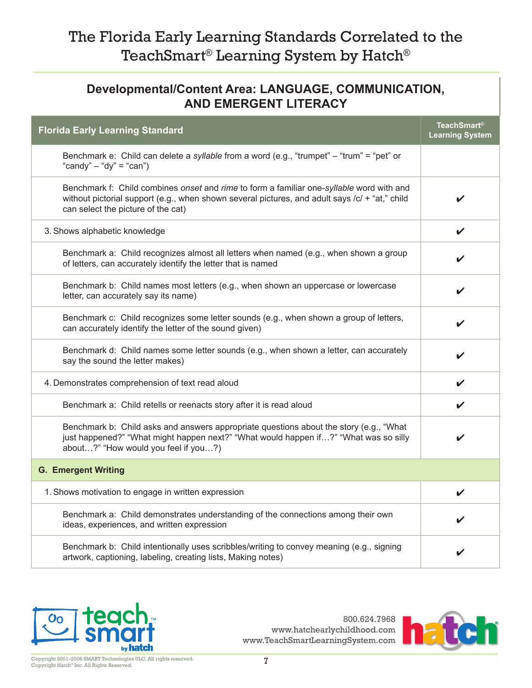#### **Developmental/Content Area: LANGUAGE, COMMUNICATION, AND EMERGENT LITERACY**

| <b>Florida Early Learning Standard</b>                                                                                                                                                                                           | <b>TeachSmart®</b><br><b>Learning System</b> |
|----------------------------------------------------------------------------------------------------------------------------------------------------------------------------------------------------------------------------------|----------------------------------------------|
| Benchmark e: Child can delete a <i>syllable</i> from a word (e.g., "trumpet" – "trum" = "pet" or<br>"candy" $-$ "dy" = "can")                                                                                                    |                                              |
| Benchmark f: Child combines onset and rime to form a familiar one-syllable word with and<br>without pictorial support (e.g., when shown several pictures, and adult says /c/ + "at," child<br>can select the picture of the cat) |                                              |
| 3. Shows alphabetic knowledge                                                                                                                                                                                                    | V                                            |
| Benchmark a: Child recognizes almost all letters when named (e.g., when shown a group<br>of letters, can accurately identify the letter that is named                                                                            |                                              |
| Benchmark b: Child names most letters (e.g., when shown an uppercase or lowercase<br>letter, can accurately say its name)                                                                                                        |                                              |
| Benchmark c: Child recognizes some letter sounds (e.g., when shown a group of letters,<br>can accurately identify the letter of the sound given)                                                                                 |                                              |
| Benchmark d: Child names some letter sounds (e.g., when shown a letter, can accurately<br>say the sound the letter makes)                                                                                                        |                                              |
| 4. Demonstrates comprehension of text read aloud                                                                                                                                                                                 | V                                            |
| Benchmark a: Child retells or reenacts story after it is read aloud                                                                                                                                                              | V                                            |
| Benchmark b: Child asks and answers appropriate questions about the story (e.g., "What<br>just happened?" "What might happen next?" "What would happen if?" "What was so silly<br>about?" "How would you feel if you?)           |                                              |
| <b>G. Emergent Writing</b>                                                                                                                                                                                                       |                                              |
| 1. Shows motivation to engage in written expression                                                                                                                                                                              | V                                            |
| Benchmark a: Child demonstrates understanding of the connections among their own<br>ideas, experiences, and written expression                                                                                                   |                                              |
| Benchmark b: Child intentionally uses scribbles/writing to convey meaning (e.g., signing<br>artwork, captioning, labeling, creating lists, Making notes)                                                                         |                                              |



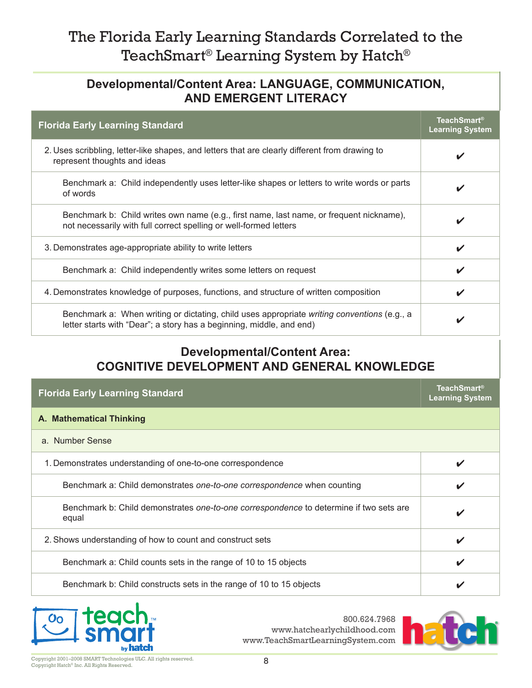#### **Developmental/Content Area: LANGUAGE, COMMUNICATION, AND EMERGENT LITERACY**

| <b>Florida Early Learning Standard</b>                                                                                                                              | <b>TeachSmart®</b><br><b>Learning System</b> |
|---------------------------------------------------------------------------------------------------------------------------------------------------------------------|----------------------------------------------|
| 2. Uses scribbling, letter-like shapes, and letters that are clearly different from drawing to<br>represent thoughts and ideas                                      | V                                            |
| Benchmark a: Child independently uses letter-like shapes or letters to write words or parts<br>of words                                                             | ✔                                            |
| Benchmark b: Child writes own name (e.g., first name, last name, or frequent nickname),<br>not necessarily with full correct spelling or well-formed letters        | V                                            |
| 3. Demonstrates age-appropriate ability to write letters                                                                                                            | ✔                                            |
| Benchmark a: Child independently writes some letters on request                                                                                                     | V                                            |
| 4. Demonstrates knowledge of purposes, functions, and structure of written composition                                                                              | V                                            |
| Benchmark a: When writing or dictating, child uses appropriate writing conventions (e.g., a<br>letter starts with "Dear"; a story has a beginning, middle, and end) | V                                            |

#### **Developmental/Content Area: COGNITIVE DEVELOPMENT AND GENERAL KNOWLEDGE**

| <b>Florida Early Learning Standard</b>                                                          | <b>TeachSmart®</b><br><b>Learning System</b> |
|-------------------------------------------------------------------------------------------------|----------------------------------------------|
| A. Mathematical Thinking                                                                        |                                              |
| a. Number Sense                                                                                 |                                              |
| 1. Demonstrates understanding of one-to-one correspondence                                      | $\boldsymbol{\mathcal{U}}$                   |
| Benchmark a: Child demonstrates one-to-one correspondence when counting                         | V                                            |
| Benchmark b: Child demonstrates one-to-one correspondence to determine if two sets are<br>equal | V                                            |
| 2. Shows understanding of how to count and construct sets                                       | V                                            |
| Benchmark a: Child counts sets in the range of 10 to 15 objects                                 | V                                            |
| Benchmark b: Child constructs sets in the range of 10 to 15 objects                             |                                              |



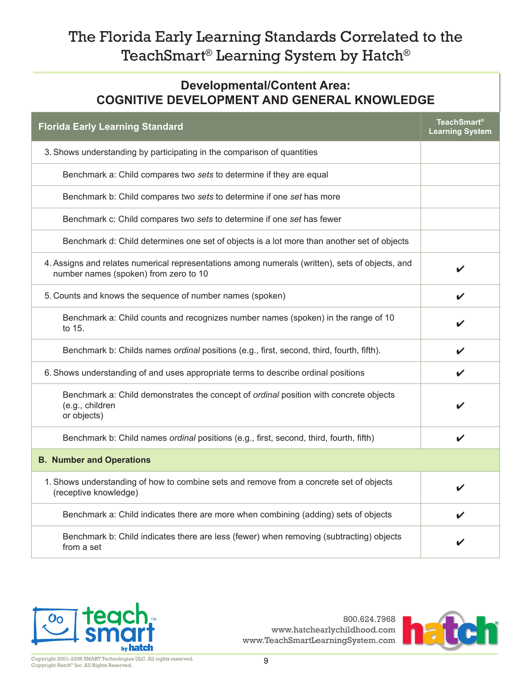#### **Developmental/Content Area: COGNITIVE DEVELOPMENT AND GENERAL KNOWLEDGE**

|                                                                                                                                          | <b>TeachSmart®</b>     |
|------------------------------------------------------------------------------------------------------------------------------------------|------------------------|
| <b>Florida Early Learning Standard</b>                                                                                                   | <b>Learning System</b> |
| 3. Shows understanding by participating in the comparison of quantities                                                                  |                        |
| Benchmark a: Child compares two sets to determine if they are equal                                                                      |                        |
| Benchmark b: Child compares two sets to determine if one set has more                                                                    |                        |
| Benchmark c: Child compares two sets to determine if one set has fewer                                                                   |                        |
| Benchmark d: Child determines one set of objects is a lot more than another set of objects                                               |                        |
| 4. Assigns and relates numerical representations among numerals (written), sets of objects, and<br>number names (spoken) from zero to 10 | ✔                      |
| 5. Counts and knows the sequence of number names (spoken)                                                                                |                        |
| Benchmark a: Child counts and recognizes number names (spoken) in the range of 10<br>to 15.                                              |                        |
| Benchmark b: Childs names <i>ordinal</i> positions (e.g., first, second, third, fourth, fifth).                                          | V                      |
| 6. Shows understanding of and uses appropriate terms to describe ordinal positions                                                       | V                      |
| Benchmark a: Child demonstrates the concept of ordinal position with concrete objects<br>(e.g., children<br>or objects)                  |                        |
| Benchmark b: Child names ordinal positions (e.g., first, second, third, fourth, fifth)                                                   | ✔                      |
| <b>B. Number and Operations</b>                                                                                                          |                        |
| 1. Shows understanding of how to combine sets and remove from a concrete set of objects<br>(receptive knowledge)                         |                        |
| Benchmark a: Child indicates there are more when combining (adding) sets of objects                                                      |                        |
| Benchmark b: Child indicates there are less (fewer) when removing (subtracting) objects<br>from a set                                    |                        |



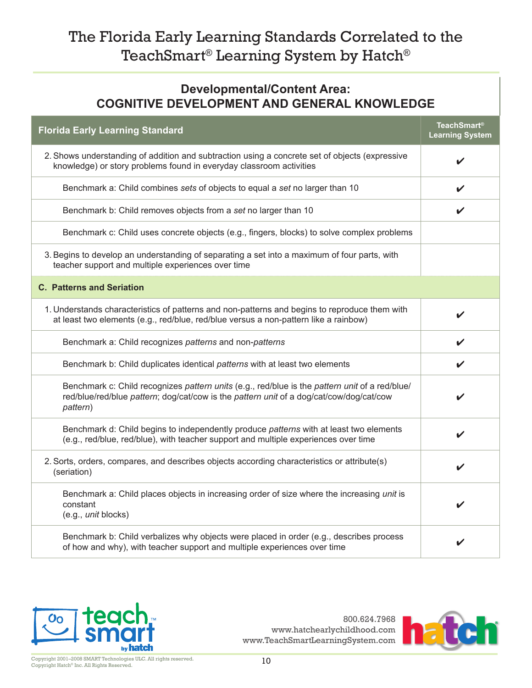#### **Developmental/Content Area: COGNITIVE DEVELOPMENT AND GENERAL KNOWLEDGE**

| <b>Florida Early Learning Standard</b>                                                                                                                                                                | <b>TeachSmart®</b><br><b>Learning System</b> |
|-------------------------------------------------------------------------------------------------------------------------------------------------------------------------------------------------------|----------------------------------------------|
| 2. Shows understanding of addition and subtraction using a concrete set of objects (expressive<br>knowledge) or story problems found in everyday classroom activities                                 | V                                            |
| Benchmark a: Child combines sets of objects to equal a set no larger than 10                                                                                                                          | V                                            |
| Benchmark b: Child removes objects from a set no larger than 10                                                                                                                                       | V                                            |
| Benchmark c: Child uses concrete objects (e.g., fingers, blocks) to solve complex problems                                                                                                            |                                              |
| 3. Begins to develop an understanding of separating a set into a maximum of four parts, with<br>teacher support and multiple experiences over time                                                    |                                              |
| <b>C. Patterns and Seriation</b>                                                                                                                                                                      |                                              |
| 1. Understands characteristics of patterns and non-patterns and begins to reproduce them with<br>at least two elements (e.g., red/blue, red/blue versus a non-pattern like a rainbow)                 |                                              |
| Benchmark a: Child recognizes patterns and non-patterns                                                                                                                                               | V                                            |
| Benchmark b: Child duplicates identical patterns with at least two elements                                                                                                                           | V                                            |
| Benchmark c: Child recognizes pattern units (e.g., red/blue is the pattern unit of a red/blue/<br>red/blue/red/blue pattern; dog/cat/cow is the pattern unit of a dog/cat/cow/dog/cat/cow<br>pattern) |                                              |
| Benchmark d: Child begins to independently produce patterns with at least two elements<br>(e.g., red/blue, red/blue), with teacher support and multiple experiences over time                         |                                              |
| 2. Sorts, orders, compares, and describes objects according characteristics or attribute(s)<br>(seriation)                                                                                            |                                              |
| Benchmark a: Child places objects in increasing order of size where the increasing unit is<br>constant<br>(e.g., unit blocks)                                                                         |                                              |
| Benchmark b: Child verbalizes why objects were placed in order (e.g., describes process<br>of how and why), with teacher support and multiple experiences over time                                   |                                              |



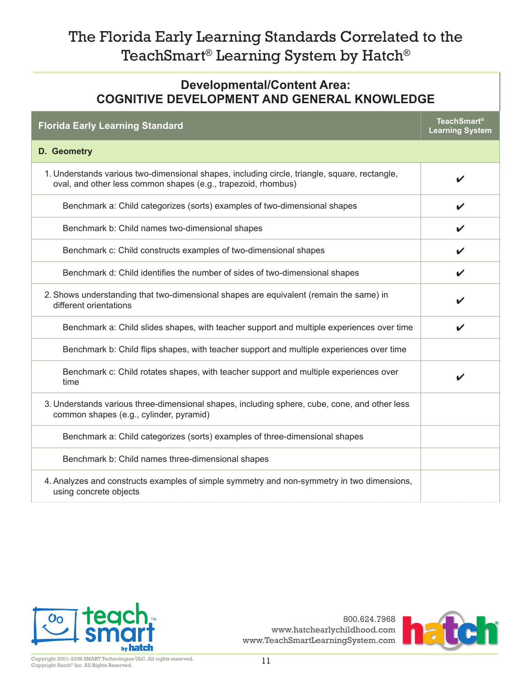#### **Developmental/Content Area: COGNITIVE DEVELOPMENT AND GENERAL KNOWLEDGE**

| <b>Florida Early Learning Standard</b>                                                                                                                         | TeachSmart®<br><b>Learning System</b> |
|----------------------------------------------------------------------------------------------------------------------------------------------------------------|---------------------------------------|
| D. Geometry                                                                                                                                                    |                                       |
| 1. Understands various two-dimensional shapes, including circle, triangle, square, rectangle,<br>oval, and other less common shapes (e.g., trapezoid, rhombus) | V                                     |
| Benchmark a: Child categorizes (sorts) examples of two-dimensional shapes                                                                                      | V                                     |
| Benchmark b: Child names two-dimensional shapes                                                                                                                |                                       |
| Benchmark c: Child constructs examples of two-dimensional shapes                                                                                               |                                       |
| Benchmark d: Child identifies the number of sides of two-dimensional shapes                                                                                    |                                       |
| 2. Shows understanding that two-dimensional shapes are equivalent (remain the same) in<br>different orientations                                               |                                       |
| Benchmark a: Child slides shapes, with teacher support and multiple experiences over time                                                                      | V                                     |
| Benchmark b: Child flips shapes, with teacher support and multiple experiences over time                                                                       |                                       |
| Benchmark c: Child rotates shapes, with teacher support and multiple experiences over<br>time                                                                  | v                                     |
| 3. Understands various three-dimensional shapes, including sphere, cube, cone, and other less<br>common shapes (e.g., cylinder, pyramid)                       |                                       |
| Benchmark a: Child categorizes (sorts) examples of three-dimensional shapes                                                                                    |                                       |
| Benchmark b: Child names three-dimensional shapes                                                                                                              |                                       |
| 4. Analyzes and constructs examples of simple symmetry and non-symmetry in two dimensions,<br>using concrete objects                                           |                                       |



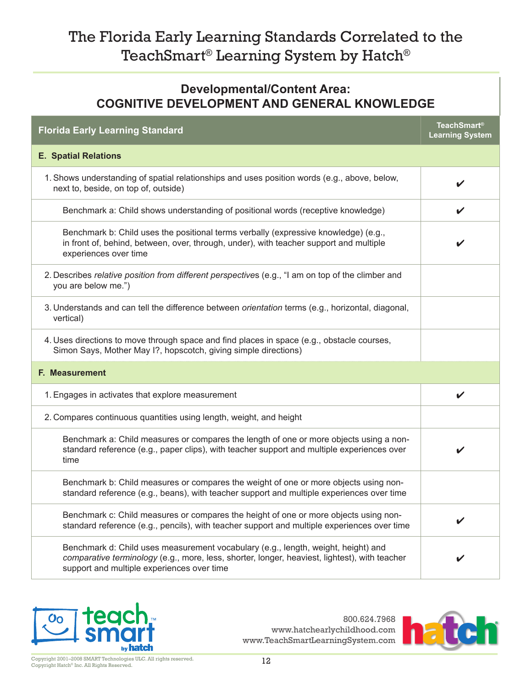#### **Developmental/Content Area: COGNITIVE DEVELOPMENT AND GENERAL KNOWLEDGE**

| <b>Florida Early Learning Standard</b>                                                                                                                                                                                           | <b>TeachSmart®</b><br><b>Learning System</b> |  |
|----------------------------------------------------------------------------------------------------------------------------------------------------------------------------------------------------------------------------------|----------------------------------------------|--|
| <b>E. Spatial Relations</b>                                                                                                                                                                                                      |                                              |  |
| 1. Shows understanding of spatial relationships and uses position words (e.g., above, below,<br>next to, beside, on top of, outside)                                                                                             | V                                            |  |
| Benchmark a: Child shows understanding of positional words (receptive knowledge)                                                                                                                                                 | V                                            |  |
| Benchmark b: Child uses the positional terms verbally (expressive knowledge) (e.g.,<br>in front of, behind, between, over, through, under), with teacher support and multiple<br>experiences over time                           |                                              |  |
| 2. Describes relative position from different perspectives (e.g., "I am on top of the climber and<br>you are below me.")                                                                                                         |                                              |  |
| 3. Understands and can tell the difference between orientation terms (e.g., horizontal, diagonal,<br>vertical)                                                                                                                   |                                              |  |
| 4. Uses directions to move through space and find places in space (e.g., obstacle courses,<br>Simon Says, Mother May 1?, hopscotch, giving simple directions)                                                                    |                                              |  |
| F. Measurement                                                                                                                                                                                                                   |                                              |  |
| 1. Engages in activates that explore measurement                                                                                                                                                                                 | V                                            |  |
| 2. Compares continuous quantities using length, weight, and height                                                                                                                                                               |                                              |  |
| Benchmark a: Child measures or compares the length of one or more objects using a non-<br>standard reference (e.g., paper clips), with teacher support and multiple experiences over<br>time                                     |                                              |  |
| Benchmark b: Child measures or compares the weight of one or more objects using non-<br>standard reference (e.g., beans), with teacher support and multiple experiences over time                                                |                                              |  |
| Benchmark c: Child measures or compares the height of one or more objects using non-<br>standard reference (e.g., pencils), with teacher support and multiple experiences over time                                              |                                              |  |
| Benchmark d: Child uses measurement vocabulary (e.g., length, weight, height) and<br>comparative terminology (e.g., more, less, shorter, longer, heaviest, lightest), with teacher<br>support and multiple experiences over time |                                              |  |



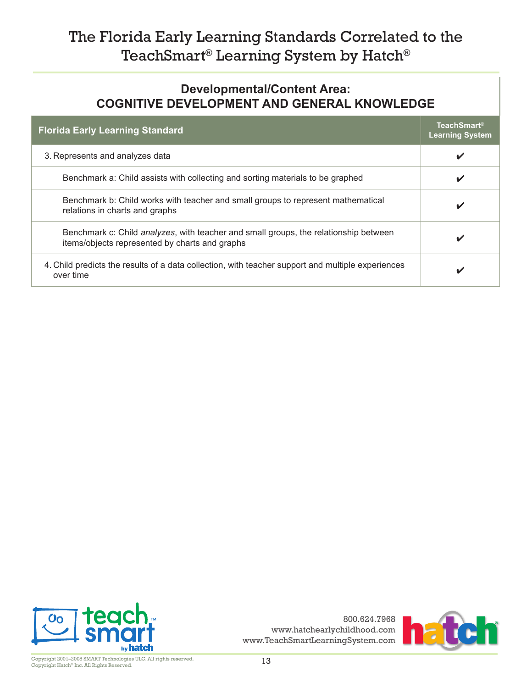#### **Developmental/Content Area: COGNITIVE DEVELOPMENT AND GENERAL KNOWLEDGE**

| <b>Florida Early Learning Standard</b>                                                                                                 | <b>TeachSmart</b> <sup>®</sup><br><b>Learning System</b> |
|----------------------------------------------------------------------------------------------------------------------------------------|----------------------------------------------------------|
| 3. Represents and analyzes data                                                                                                        | V                                                        |
| Benchmark a: Child assists with collecting and sorting materials to be graphed                                                         | V                                                        |
| Benchmark b: Child works with teacher and small groups to represent mathematical<br>relations in charts and graphs                     | V                                                        |
| Benchmark c: Child analyzes, with teacher and small groups, the relationship between<br>items/objects represented by charts and graphs | V                                                        |
| 4. Child predicts the results of a data collection, with teacher support and multiple experiences<br>over time                         | v                                                        |



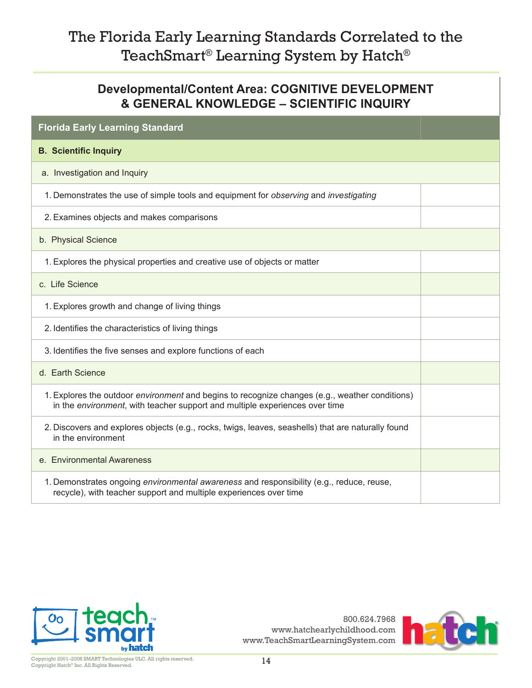#### **Developmental/Content Area: COGNITIVE DEVELOPMENT & GENERAL KNOWLEDGE – SCIENTIFIC INQUIRY**

| <b>Florida Early Learning Standard</b>                                                                                                                                               |  |
|--------------------------------------------------------------------------------------------------------------------------------------------------------------------------------------|--|
| <b>B.</b> Scientific Inquiry                                                                                                                                                         |  |
| a. Investigation and Inquiry                                                                                                                                                         |  |
| 1. Demonstrates the use of simple tools and equipment for observing and investigating                                                                                                |  |
| 2. Examines objects and makes comparisons                                                                                                                                            |  |
| b. Physical Science                                                                                                                                                                  |  |
| 1. Explores the physical properties and creative use of objects or matter                                                                                                            |  |
| c. Life Science                                                                                                                                                                      |  |
| 1. Explores growth and change of living things                                                                                                                                       |  |
| 2. Identifies the characteristics of living things                                                                                                                                   |  |
| 3. Identifies the five senses and explore functions of each                                                                                                                          |  |
| d. Earth Science                                                                                                                                                                     |  |
| 1. Explores the outdoor <i>environment</i> and begins to recognize changes (e.g., weather conditions)<br>in the environment, with teacher support and multiple experiences over time |  |
| 2. Discovers and explores objects (e.g., rocks, twigs, leaves, seashells) that are naturally found<br>in the environment                                                             |  |
| e. Environmental Awareness                                                                                                                                                           |  |
| 1. Demonstrates ongoing environmental awareness and responsibility (e.g., reduce, reuse,<br>recycle), with teacher support and multiple experiences over time                        |  |



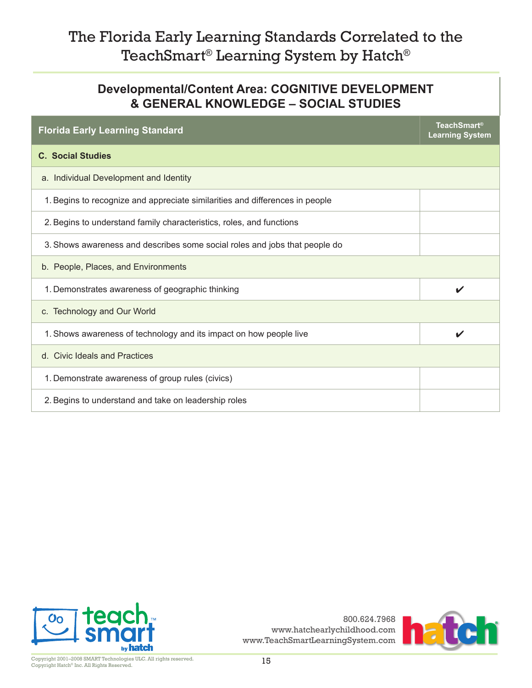#### **Developmental/Content Area: COGNITIVE DEVELOPMENT & GENERAL KNOWLEDGE – SOCIAL STUDIES**

| <b>Florida Early Learning Standard</b>                                       | <b>TeachSmart®</b><br><b>Learning System</b> |
|------------------------------------------------------------------------------|----------------------------------------------|
| <b>C. Social Studies</b>                                                     |                                              |
| a. Individual Development and Identity                                       |                                              |
| 1. Begins to recognize and appreciate similarities and differences in people |                                              |
| 2. Begins to understand family characteristics, roles, and functions         |                                              |
| 3. Shows awareness and describes some social roles and jobs that people do   |                                              |
| b. People, Places, and Environments                                          |                                              |
| 1. Demonstrates awareness of geographic thinking                             | ✔                                            |
| c. Technology and Our World                                                  |                                              |
| 1. Shows awareness of technology and its impact on how people live           |                                              |
| d. Civic Ideals and Practices                                                |                                              |
| 1. Demonstrate awareness of group rules (civics)                             |                                              |
| 2. Begins to understand and take on leadership roles                         |                                              |